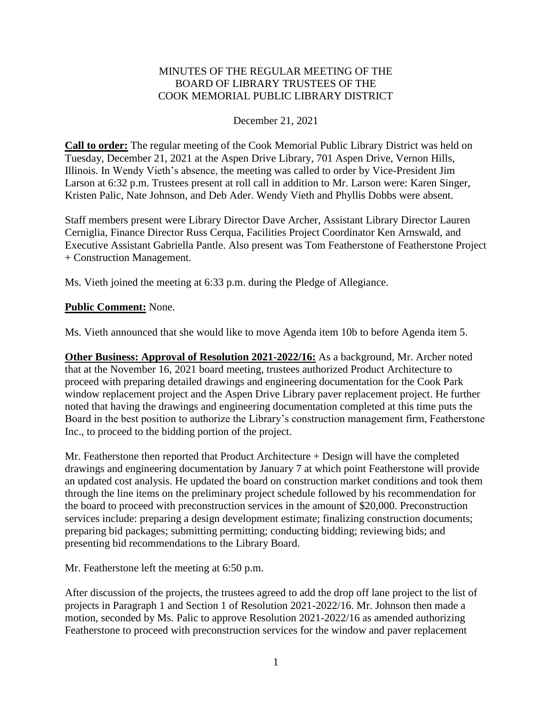### MINUTES OF THE REGULAR MEETING OF THE BOARD OF LIBRARY TRUSTEES OF THE COOK MEMORIAL PUBLIC LIBRARY DISTRICT

### December 21, 2021

**Call to order:** The regular meeting of the Cook Memorial Public Library District was held on Tuesday, December 21, 2021 at the Aspen Drive Library, 701 Aspen Drive, Vernon Hills, Illinois. In Wendy Vieth's absence, the meeting was called to order by Vice-President Jim Larson at 6:32 p.m. Trustees present at roll call in addition to Mr. Larson were: Karen Singer, Kristen Palic, Nate Johnson, and Deb Ader. Wendy Vieth and Phyllis Dobbs were absent.

Staff members present were Library Director Dave Archer, Assistant Library Director Lauren Cerniglia, Finance Director Russ Cerqua, Facilities Project Coordinator Ken Arnswald, and Executive Assistant Gabriella Pantle. Also present was Tom Featherstone of Featherstone Project + Construction Management.

Ms. Vieth joined the meeting at 6:33 p.m. during the Pledge of Allegiance.

### **Public Comment:** None.

Ms. Vieth announced that she would like to move Agenda item 10b to before Agenda item 5.

**Other Business: Approval of Resolution 2021-2022/16:** As a background, Mr. Archer noted that at the November 16, 2021 board meeting, trustees authorized Product Architecture to proceed with preparing detailed drawings and engineering documentation for the Cook Park window replacement project and the Aspen Drive Library paver replacement project. He further noted that having the drawings and engineering documentation completed at this time puts the Board in the best position to authorize the Library's construction management firm, Featherstone Inc., to proceed to the bidding portion of the project.

Mr. Featherstone then reported that Product Architecture + Design will have the completed drawings and engineering documentation by January 7 at which point Featherstone will provide an updated cost analysis. He updated the board on construction market conditions and took them through the line items on the preliminary project schedule followed by his recommendation for the board to proceed with preconstruction services in the amount of \$20,000. Preconstruction services include: preparing a design development estimate; finalizing construction documents; preparing bid packages; submitting permitting; conducting bidding; reviewing bids; and presenting bid recommendations to the Library Board.

Mr. Featherstone left the meeting at 6:50 p.m.

After discussion of the projects, the trustees agreed to add the drop off lane project to the list of projects in Paragraph 1 and Section 1 of Resolution 2021-2022/16. Mr. Johnson then made a motion, seconded by Ms. Palic to approve Resolution 2021-2022/16 as amended authorizing Featherstone to proceed with preconstruction services for the window and paver replacement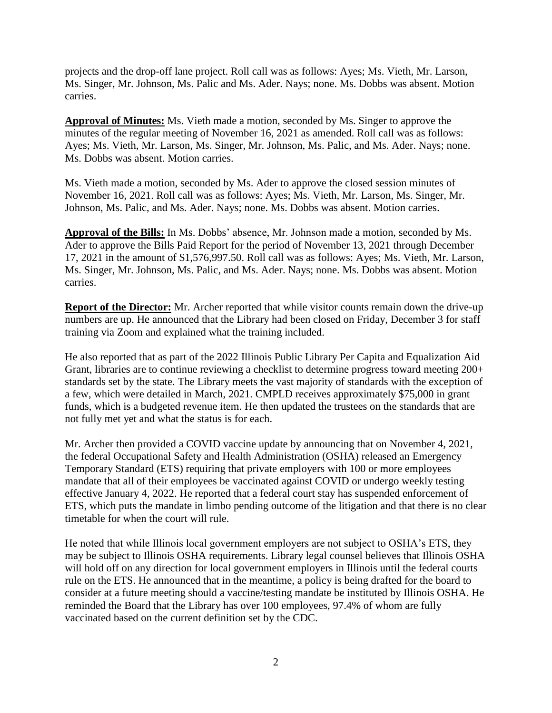projects and the drop-off lane project. Roll call was as follows: Ayes; Ms. Vieth, Mr. Larson, Ms. Singer, Mr. Johnson, Ms. Palic and Ms. Ader. Nays; none. Ms. Dobbs was absent. Motion carries.

**Approval of Minutes:** Ms. Vieth made a motion, seconded by Ms. Singer to approve the minutes of the regular meeting of November 16, 2021 as amended. Roll call was as follows: Ayes; Ms. Vieth, Mr. Larson, Ms. Singer, Mr. Johnson, Ms. Palic, and Ms. Ader. Nays; none. Ms. Dobbs was absent. Motion carries.

Ms. Vieth made a motion, seconded by Ms. Ader to approve the closed session minutes of November 16, 2021. Roll call was as follows: Ayes; Ms. Vieth, Mr. Larson, Ms. Singer, Mr. Johnson, Ms. Palic, and Ms. Ader. Nays; none. Ms. Dobbs was absent. Motion carries.

**Approval of the Bills:** In Ms. Dobbs' absence, Mr. Johnson made a motion, seconded by Ms. Ader to approve the Bills Paid Report for the period of November 13, 2021 through December 17, 2021 in the amount of \$1,576,997.50. Roll call was as follows: Ayes; Ms. Vieth, Mr. Larson, Ms. Singer, Mr. Johnson, Ms. Palic, and Ms. Ader. Nays; none. Ms. Dobbs was absent. Motion carries.

**Report of the Director:** Mr. Archer reported that while visitor counts remain down the drive-up numbers are up. He announced that the Library had been closed on Friday, December 3 for staff training via Zoom and explained what the training included.

He also reported that as part of the 2022 Illinois Public Library Per Capita and Equalization Aid Grant, libraries are to continue reviewing a checklist to determine progress toward meeting 200+ standards set by the state. The Library meets the vast majority of standards with the exception of a few, which were detailed in March, 2021. CMPLD receives approximately \$75,000 in grant funds, which is a budgeted revenue item. He then updated the trustees on the standards that are not fully met yet and what the status is for each.

Mr. Archer then provided a COVID vaccine update by announcing that on November 4, 2021, the federal Occupational Safety and Health Administration (OSHA) released an Emergency Temporary Standard (ETS) requiring that private employers with 100 or more employees mandate that all of their employees be vaccinated against COVID or undergo weekly testing effective January 4, 2022. He reported that a federal court stay has suspended enforcement of ETS, which puts the mandate in limbo pending outcome of the litigation and that there is no clear timetable for when the court will rule.

He noted that while Illinois local government employers are not subject to OSHA's ETS, they may be subject to Illinois OSHA requirements. Library legal counsel believes that Illinois OSHA will hold off on any direction for local government employers in Illinois until the federal courts rule on the ETS. He announced that in the meantime, a policy is being drafted for the board to consider at a future meeting should a vaccine/testing mandate be instituted by Illinois OSHA. He reminded the Board that the Library has over 100 employees, 97.4% of whom are fully vaccinated based on the current definition set by the CDC.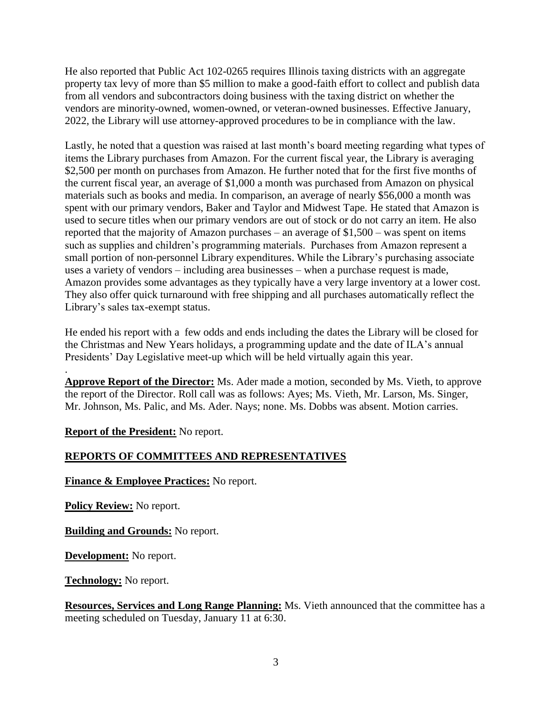He also reported that Public Act 102-0265 requires Illinois taxing districts with an aggregate property tax levy of more than \$5 million to make a good-faith effort to collect and publish data from all vendors and subcontractors doing business with the taxing district on whether the vendors are minority-owned, women-owned, or veteran-owned businesses. Effective January, 2022, the Library will use attorney-approved procedures to be in compliance with the law.

Lastly, he noted that a question was raised at last month's board meeting regarding what types of items the Library purchases from Amazon. For the current fiscal year, the Library is averaging \$2,500 per month on purchases from Amazon. He further noted that for the first five months of the current fiscal year, an average of \$1,000 a month was purchased from Amazon on physical materials such as books and media. In comparison, an average of nearly \$56,000 a month was spent with our primary vendors, Baker and Taylor and Midwest Tape. He stated that Amazon is used to secure titles when our primary vendors are out of stock or do not carry an item. He also reported that the majority of Amazon purchases – an average of \$1,500 – was spent on items such as supplies and children's programming materials. Purchases from Amazon represent a small portion of non-personnel Library expenditures. While the Library's purchasing associate uses a variety of vendors – including area businesses – when a purchase request is made, Amazon provides some advantages as they typically have a very large inventory at a lower cost. They also offer quick turnaround with free shipping and all purchases automatically reflect the Library's sales tax-exempt status.

He ended his report with a few odds and ends including the dates the Library will be closed for the Christmas and New Years holidays, a programming update and the date of ILA's annual Presidents' Day Legislative meet-up which will be held virtually again this year.

**Approve Report of the Director:** Ms. Ader made a motion, seconded by Ms. Vieth, to approve the report of the Director. Roll call was as follows: Ayes; Ms. Vieth, Mr. Larson, Ms. Singer, Mr. Johnson, Ms. Palic, and Ms. Ader. Nays; none. Ms. Dobbs was absent. Motion carries.

**Report of the President:** No report.

# **REPORTS OF COMMITTEES AND REPRESENTATIVES**

**Finance & Employee Practices:** No report.

**Policy Review:** No report.

.

**Building and Grounds:** No report.

**Development:** No report.

**Technology:** No report.

**Resources, Services and Long Range Planning:** Ms. Vieth announced that the committee has a meeting scheduled on Tuesday, January 11 at 6:30.